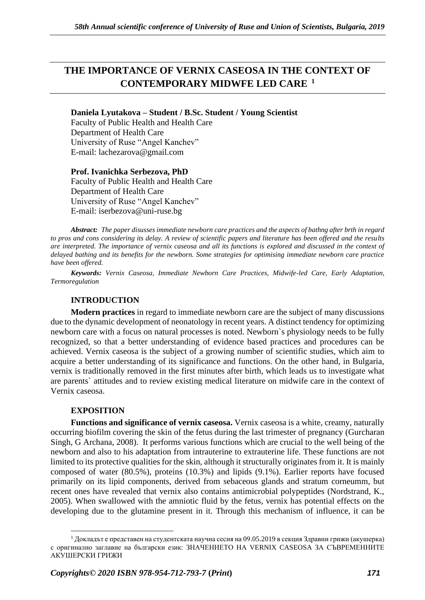# **THE IMPORTANCE OF VERNIX CASEOSA IN THE CONTEXT OF CONTEMPORARY MIDWFE LED CARE <sup>1</sup>**

**Daniela Lyutakova – Student / B.Sc. Student / Young Scientist**

Faculty of Public Health and Health Care Department of Health Care University of Ruse "Angel Kanchev" E-mail: lachezarova@gmail.com

**Prof. Ivanichka Serbezova, PhD**  Faculty of Public Health and Health Care Department of Health Care University of Ruse "Angel Kanchev"

Е-mail: iserbezova@uni-ruse.bg

*Abstract: The paper disusses immediate newborn care practices and the aspects of bathng after brth in regard to pros and cons considering its delay. A review of scientific papers and literature has been offered and the results are interpreted. The importance of vernix caseosa and all its functions is explored and discussed in the context of delayed bathing and its benefits for the newborn. Some strategies for optimising immediate newborn care practice have been offered.*

*Keywords: Vernix Caseosa, Immediate Newborn Care Practices, Midwife-led Care, Early Adaptation, Termoregulation*

# **INTRODUCTION**

**Modern practices** in regard to immediate newborn care are the subject of many discussions due to the dynamic development of neonatology in recent years. A distinct tendency for optimizing newborn care with a focus on natural processes is noted. Newborn`s physiology needs to be fully recognized, so that a better understanding of evidence based practices and procedures can be achieved. Vernix caseosa is the subject of a growing number of scientific studies, which aim to acquire a better understanding of its significance and functions. On the other hand, in Bulgaria, vernix is traditionally removed in the first minutes after birth, which leads us to investigate what are parents` attitudes and to review existing medical literature on midwife care in the context of Vernix caseosa.

## **EXPOSITION**

**Functions and significance of vernix caseosa.** Vernix caseosa is a white, creamy, naturally occurring biofilm covering the skin of the fetus during the last trimester of pregnancy (Gurcharan Singh, G Archana, 2008). It performs various functions which are crucial to the well being of the newborn and also to his adaptation from intrauterine to extrauterine life. These functions are not limited to its protective qualities for the skin, although it structurally originates from it. It is mainly composed of water (80.5%), proteins (10.3%) and lipids (9.1%). Earlier reports have focused primarily on its lipid components, derived from sebaceous glands and stratum corneumm, but recent ones have revealed that vernix also contains antimicrobial polypeptides (Nordstrand, K., 2005). When swallowed with the amniotic fluid by the fetus, vernix has potential effects on the developing due to the glutamine present in it. Through this mechanism of influence, it can be

 $1$  Докладът е представен на студентската научна сесия на 09.05.2019 в секция Здравни грижи (акушерка) с оригинално заглавие на български език: ЗНАЧЕНИЕТО НА VERNIX CASEOSA ЗА СЪВРЕМЕННИТЕ АКУШЕРСКИ ГРИЖИ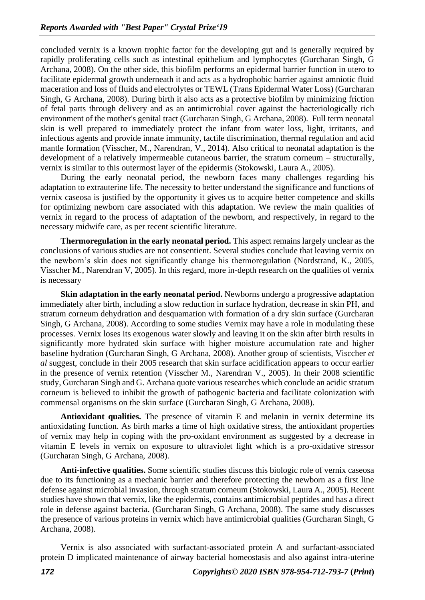concluded vernix is a known trophic factor for the developing gut and is generally required by rapidly proliferating cells such as intestinal epithelium and lymphocytes (Gurcharan Singh, G Archana, 2008). On the other side, this biofilm performs an epidermal barrier function in utero to facilitate epidermal growth underneath it and acts as a hydrophobic barrier against amniotic fluid maceration and loss of fluids and electrolytes or TEWL (Trans Epidermal Water Loss) (Gurcharan Singh, G Archana, 2008). During birth it also acts as a protective biofilm by minimizing friction of fetal parts through delivery and as an antimicrobial cover against the bacteriologically rich environment of the mother's genital tract (Gurcharan Singh, G Archana, 2008). Full term neonatal skin is well prepared to immediately protect the infant from water loss, light, irritants, and infectious agents and provide innate immunity, tactile discrimination, thermal regulation and acid mantle formation (Visscher, M., Narendran, V., 2014). Also critical to neonatal adaptation is the development of a relatively impermeable cutaneous barrier, the stratum corneum – structurally, vernix is similar to this outermost layer of the epidermis (Stokowski, Laura A., 2005).

During the early neonatal period, the newborn faces many challenges regarding his adaptation to extrauterine life. The necessity to better understand the significance and functions of vernix caseosa is justified by the opportunity it gives us to acquire better competence and skills for optimizing newborn care associated with this adaptation. We review the main qualities of vernix in regard to the process of adaptation of the newborn, and respectively, in regard to the necessary midwife care, as per recent scientific literature.

**Thermoregulation in the early neonatal period.** This aspect remains largely unclear as the conclusions of various studies are not consentient. Several studies conclude that leaving vernix on the newborn's skin does not significantly change his thermoregulation (Nordstrand, K., 2005, Visscher M., Narendran V, 2005). In this regard, more in-depth research on the qualities of vernix is necessary

**Skin adaptation in the early neonatal period.** Newborns undergo a progressive adaptation immediately after birth, including a slow reduction in surface hydration, decrease in skin PH, and stratum corneum dehydration and desquamation with formation of a dry skin surface (Gurcharan Singh, G Archana, 2008). According to some studies Vernix may have a role in modulating these processes. Vernix loses its exogenous water slowly and leaving it on the skin after birth results in significantly more hydrated skin surface with higher moisture accumulation rate and higher baseline hydration (Gurcharan Singh, G Archana, 2008). Another group of scientists, Visccher *et al* suggest, conclude in their 2005 research that skin surface acidification appears to occur earlier in the presence of vernix retention (Visscher M., Narendran V., 2005). In their 2008 scientific study, Gurcharan Singh and G. Archana quote various researches which conclude an acidic stratum corneum is believed to inhibit the growth of pathogenic bacteria and facilitate colonization with commensal organisms on the skin surface (Gurcharan Singh, G Archana, 2008).

**Antioxidant qualities.** The presence of vitamin E and melanin in vernix determine its antioxidating function. As birth marks a time of high oxidative stress, the antioxidant properties of vernix may help in coping with the pro-oxidant environment as suggested by a decrease in vitamin E levels in vernix on exposure to ultraviolet light which is a pro-oxidative stressor (Gurcharan Singh, G Archana, 2008).

**Anti-infective qualities.** Some scientific studies discuss this biologic role of vernix caseosa due to its functioning as a mechanic barrier and therefore protecting the newborn as a first line defense against microbial invasion, through stratum corneum (Stokowski, Laura A., 2005). Recent studies have shown that vernix, like the epidermis, contains antimicrobial peptides and has a direct role in defense against bacteria. (Gurcharan Singh, G Archana, 2008). The same study discusses the presence of various proteins in vernix which have antimicrobial qualities (Gurcharan Singh, G Archana, 2008).

Vernix is also associated with surfactant-associated protein A and surfactant-associated protein D implicated maintenance of airway bacterial homeostasis and also against intra-uterine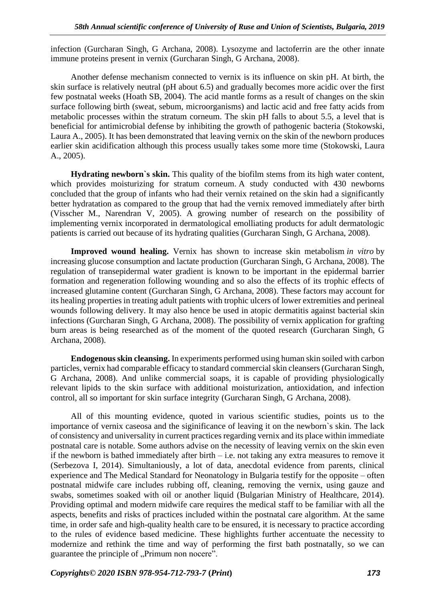infection (Gurcharan Singh, G Archana, 2008). Lysozyme and lactoferrin are the other innate immune proteins present in vernix (Gurcharan Singh, G Archana, 2008).

Another defense mechanism connected to vernix is its influence on skin pH. At birth, the skin surface is relatively neutral (pH about 6.5) and gradually becomes more acidic over the first few postnatal weeks (Hoath SB, 2004). The acid mantle forms as a result of changes on the skin surface following birth (sweat, sebum, microorganisms) and lactic acid and free fatty acids from metabolic processes within the stratum corneum. The skin pH falls to about 5.5, a level that is beneficial for antimicrobial defense by inhibiting the growth of pathogenic bacteria (Stokowski, Laura A., 2005). It has been demonstrated that leaving vernix on the skin of the newborn produces earlier skin acidification although this process usually takes some more time (Stokowski, Laura A., 2005).

**Hydrating newborn`s skin.** This quality of the biofilm stems from its high water content, which provides moisturizing for stratum corneum. A study conducted with 430 newborns concluded that the group of infants who had their vernix retained on the skin had a significantly better hydratation as compared to the group that had the vernix removed immediately after birth (Visscher M., Narendran V, 2005). A growing number of research on the possibility of implementing vernix incorporated in dermatological emolliating products for adult dermatologic patients is carried out because of its hydrating qualities (Gurcharan Singh, G Archana, 2008).

**Improved wound healing.** Vernix has shown to increase skin metabolism *in vitro* by increasing glucose consumption and lactate production (Gurcharan Singh, G Archana, 2008). The regulation of transepidermal water gradient is known to be important in the epidermal barrier formation and regeneration following wounding and so also the effects of its trophic effects of increased glutamine content (Gurcharan Singh, G Archana, 2008). These factors may account for its healing properties in treating adult patients with trophic ulcers of lower extremities and perineal wounds following delivery. It may also hence be used in atopic dermatitis against bacterial skin infections (Gurcharan Singh, G Archana, 2008). The possibility of vernix application for grafting burn areas is being researched as of the moment of the quoted research (Gurcharan Singh, G Archana, 2008).

**Endogenous skin cleansing.** In experiments performed using human skin soiled with carbon particles, vernix had comparable efficacy to standard commercial skin cleansers (Gurcharan Singh, G Archana, 2008). And unlike commercial soaps, it is capable of providing physiologically relevant lipids to the skin surface with additional moisturization, antioxidation, and infection control, all so important for skin surface integrity (Gurcharan Singh, G Archana, 2008).

All of this mounting evidence, quoted in various scientific studies, points us to the importance of vernix caseosa and the siginificance of leaving it on the newborn`s skin. The lack of consistency and universality in current practices regarding vernix and its place within immediate postnatal care is notable. Some authors advise on the necessity of leaving vernix on the skin even if the newborn is bathed immediately after birth – i.e. not taking any extra measures to remove it (Serbezova I, 2014). Simultaniously, a lot of data, anecdotal evidence from parents, clinical experience and The Medical Standard for Neonatology in Bulgaria testify for the opposite – often postnatal midwife care includes rubbing off, cleaning, removing the vernix, using gauze and swabs, sometimes soaked with oil or another liquid (Bulgarian Ministry of Healthcare, 2014). Providing optimal and modern midwife care requires the medical staff to be familiar with all the aspects, benefits and risks of practices included within the postnatal care algorithm. At the same time, in order safe and high-quality health care to be ensured, it is necessary to practice according to the rules of evidence based medicine. These highlights further accentuate the necessity to modernize and rethink the time and way of performing the first bath postnatally, so we can guarantee the principle of "Primum non nocere".

*Copyrights© 2020 ISBN 978-954-712-793-7* **(***Print***)** *173*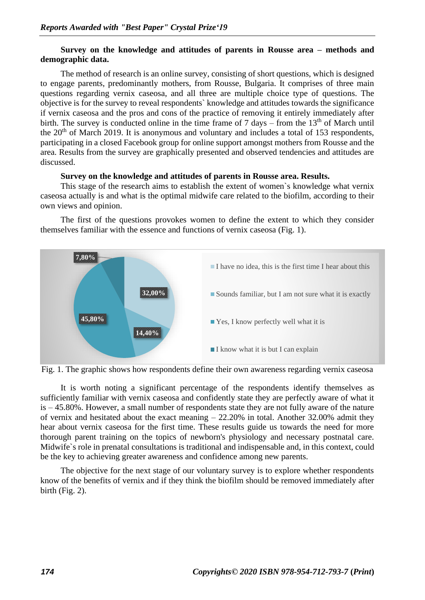### **Survey on the knowledge and attitudes of parents in Rousse area – methods and demographic data.**

The method of research is an online survey, consisting of short questions, which is designed to engage parents, predominantly mothers, from Rousse, Bulgaria. It comprises of three main questions regarding vernix caseosa, and all three are multiple choice type of questions. The objective is for the survey to reveal respondents` knowledge and attitudes towards the significance if vernix caseosa and the pros and cons of the practice of removing it entirely immediately after birth. The survey is conducted online in the time frame of  $7 \text{ days} - \text{from the } 13^{\text{th}}$  of March until the  $20<sup>th</sup>$  of March 2019. It is anonymous and voluntary and includes a total of 153 respondents, participating in a closed Facebook group for online support amongst mothers from Rousse and the area. Results from the survey are graphically presented and observed tendencies and attitudes are discussed.

#### **Survey on the knowledge and attitudes of parents in Rousse area. Results.**

This stage of the research aims to establish the extent of women`s knowledge what vernix caseosa actually is and what is the optimal midwife care related to the biofilm, according to their own views and opinion.

The first of the questions provokes women to define the extent to which they consider themselves familiar with the essence and functions of vernix caseosa (Fig. 1).





It is worth noting a significant percentage of the respondents identify themselves as sufficiently familiar with vernix caseosa and confidently state they are perfectly aware of what it is – 45.80%. However, a small number of respondents state they are not fully aware of the nature of vernix and hesitated about the exact meaning – 22.20% in total. Another 32.00% admit they hear about vernix caseosa for the first time. These results guide us towards the need for more thorough parent training on the topics of newborn's physiology and necessary postnatal care. Midwife`s role in prenatal consultations is traditional and indispensable and, in this context, could be the key to achieving greater awareness and confidence among new parents.

The objective for the next stage of our voluntary survey is to explore whether respondents know of the benefits of vernix and if they think the biofilm should be removed immediately after birth (Fig. 2).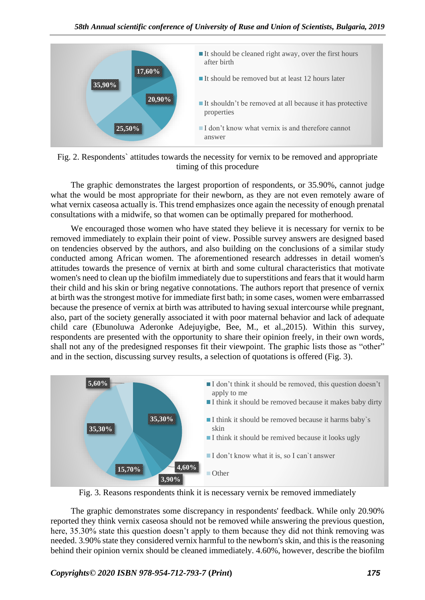



The graphic demonstrates the largest proportion of respondents, or 35.90%, cannot judge what the would be most appropriate for their newborn, as they are not even remotely aware of what vernix caseosa actually is. This trend emphasizes once again the necessity of enough prenatal consultations with a midwife, so that women can be optimally prepared for motherhood.

We encouraged those women who have stated they believe it is necessary for vernix to be removed immediately to explain their point of view. Possible survey answers are designed based on tendencies observed by the authors, and also building on the conclusions of a similar study conducted among African women. The aforementioned research addresses in detail women's attitudes towards the presence of vernix at birth and some cultural characteristics that motivate women's need to clean up the biofilm immediately due to superstitions and fears that it would harm their child and his skin or bring negative connotations. The authors report that presence of vernix at birth was the strongest motive for immediate first bath; in some cases, women were embarrassed because the presence of vernix at birth was attributed to having sexual intercourse while pregnant, also, part of the society generally associated it with poor maternal behavior and lack of adequate child care (Ebunoluwa Aderonke Adejuyigbe, Bee, M., et al.,2015). Within this survey, respondents are presented with the opportunity to share their opinion freely, in their own words, shall not any of the predesigned responses fit their viewpoint. The graphic lists those as "other" and in the section, discussing survey results, a selection of quotations is offered (Fig. 3).



Fig. 3. Reasons respondents think it is necessary vernix be removed immediately

The graphic demonstrates some discrepancy in respondents' feedback. While only 20.90% reported they think vernix caseosa should not be removed while answering the previous question, here, 35.30% state this question doesn't apply to them because they did not think removing was needed. 3.90% state they considered vernix harmful to the newborn's skin, and this is the reasoning behind their opinion vernix should be cleaned immediately. 4.60%, however, describe the biofilm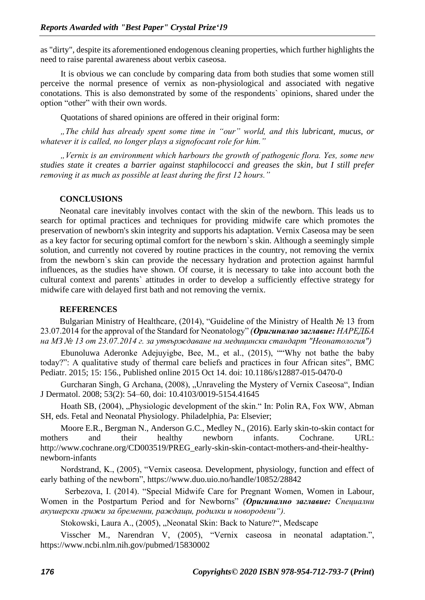as "dirty", despite its aforementioned endogenous cleaning properties, which further highlights the need to raise parental awareness about verbix caseosa.

It is obvious we can conclude by comparing data from both studies that some women still perceive the normal presence of vernix as non-physiological and associated with negative conotations. This is also demonstrated by some of the respondents` opinions, shared under the option "other" with their own words.

Quotations of shared opinions are offered in their original form:

*"The child has already spent some time in "our" world, and this lubricant, mucus, or whatever it is called, no longer plays a signofocant role for him."* 

*"Vernix is an environment which harbours the growth of pathogenic flora. Yes, some new studies state it creates a barrier against staphilococci and greases the skin, but I still prefer removing it as much as possible at least during the first 12 hours."*

#### **CONCLUSIONS**

Neonatal care inevitably involves contact with the skin of the newborn. This leads us to search for optimal practices and techniques for providing midwife care which promotes the preservation of newborn's skin integrity and supports his adaptation. Vernix Caseosa may be seen as a key factor for securing optimal comfort for the newborn`s skin. Although a seemingly simple solution, and currently not covered by routine practices in the country, not removing the vernix from the newborn`s skin can provide the necessary hydration and protection against harmful influences, as the studies have shown. Of course, it is necessary to take into account both the cultural context and parents` attitudes in order to develop a sufficiently effective strategy for midwife care with delayed first bath and not removing the vernix.

#### **REFERENCES**

Bulgarian Ministry of Healthcare, (2014), "Guideline of the Ministry of Health № 13 from 23.07.2014 for the approval of the Standard for Neonatology" *(Оригиналао заглавие: НАРЕДБА на МЗ № 13 от 23.07.2014 г. за утвърждаване на медицински стандарт "Неонатология")*

Ebunoluwa Aderonke Adejuyigbe, Bee, M., et al., (2015), ""Why not bathe the baby today?": A qualitative study of thermal care beliefs and practices in four African sites", BMC Pediatr. 2015; 15: 156., Published online 2015 Oct 14. doi: 10.1186/s12887-015-0470-0

Gurcharan Singh, G Archana, (2008), "Unraveling the Mystery of Vernix Caseosa", Indian J Dermatol. 2008; 53(2): 54–60, doi: 10.4103/0019-5154.41645

Hoath SB, (2004), "Physiologic development of the skin." In: Polin RA, Fox WW, Abman SH, eds. Fetal and Neonatal Physiology. Philadelphia, Pa: Elsevier;

Moore E.R., Bergman N., Anderson G.C., Medley N., (2016). Early skin-to-skin contact for mothers and their healthy newborn infants. Cochrane. URL: http://www.cochrane.org/CD003519/PREG\_early-skin-skin-contact-mothers-and-their-healthynewborn-infants

Nordstrand, K., (2005), "Vernix caseosa. Development, physiology, function and effect of early bathing of the newborn",<https://www.duo.uio.no/handle/10852/28842>

 Serbezova, I. (2014). "Special Midwife Care for Pregnant Women, Women in Labour, Women in the Postpartum Period and for Newborns" *(Оригинално заглавие: Специални акушерски грижи за бременни, раждащи, родилки и новородени").*

Stokowski, Laura A., (2005), "Neonatal Skin: Back to Nature?", Medscape

Visscher M., Narendran V, (2005), "Vernix caseosa in neonatal adaptation.", https://www.ncbi.nlm.nih.gov/pubmed/15830002